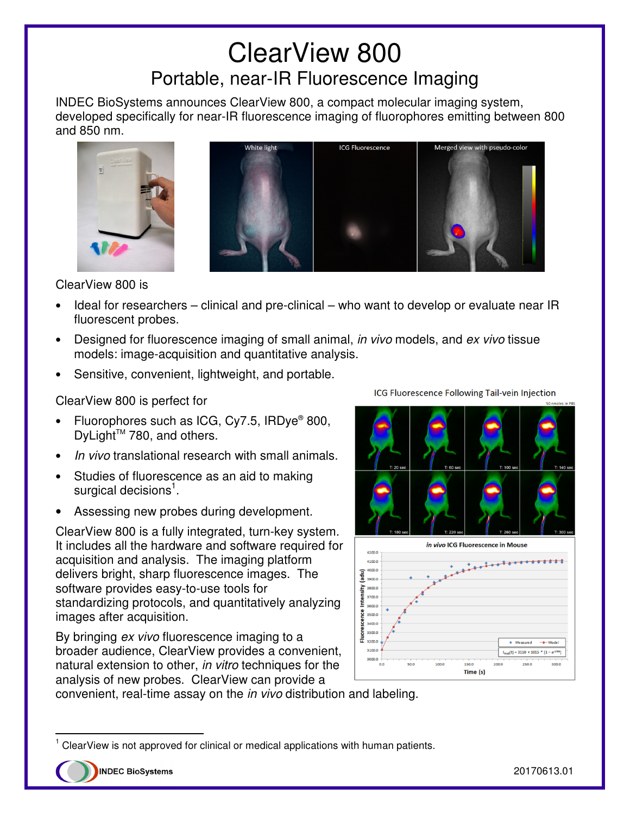## ClearView 800 Portable, near-IR Fluorescence Imaging

INDEC BioSystems announces ClearView 800, a compact molecular imaging system, developed specifically for near-IR fluorescence imaging of fluorophores emitting between 800 and 850 nm.





ClearView 800 is

- Ideal for researchers clinical and pre-clinical who want to develop or evaluate near IR fluorescent probes.
- Designed for fluorescence imaging of small animal, *in vivo* models, and ex vivo tissue models: image-acquisition and quantitative analysis.
- Sensitive, convenient, lightweight, and portable.

ClearView 800 is perfect for

- Fluorophores such as ICG, Cy7.5, IRDye® 800, DyLight<sup>™</sup> 780, and others.
- In vivo translational research with small animals.
- Studies of fluorescence as an aid to making surgical decisions<sup>1</sup>.
- Assessing new probes during development.

ClearView 800 is a fully integrated, turn-key system. It includes all the hardware and software required for acquisition and analysis. The imaging platform delivers bright, sharp fluorescence images. The software provides easy-to-use tools for standardizing protocols, and quantitatively analyzing images after acquisition.

By bringing ex vivo fluorescence imaging to a broader audience, ClearView provides a convenient, natural extension to other, in vitro techniques for the analysis of new probes. ClearView can provide a



150.0 Time (s)

ICG Fluorescence Following Tail-vein Injection

convenient, real-time assay on the in vivo distribution and labeling.

 $\overline{a}$ 

<sup>1</sup> ClearView is not approved for clinical or medical applications with human patients.